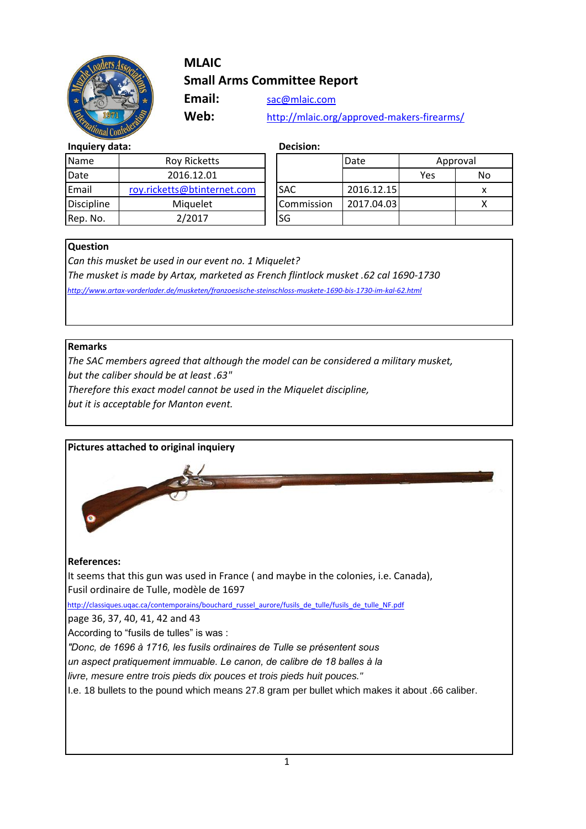

# **MLAIC Small Arms Committee Report**

Email: [sac@mlaic.com](mailto:stefano@davidepedersoli.com)

**Web:** http://mlaic.org/approved-makers-firearms/

#### **Inquiery data: Decision:**

| <b>Name</b>       | <b>Roy Ricketts</b>         |            | Date |
|-------------------|-----------------------------|------------|------|
| Date              | 2016.12.01                  |            |      |
| Email             | roy.ricketts@btinternet.com | <b>SAC</b> | 201  |
| <b>Discipline</b> | Miquelet                    | Commission | 2011 |
| Rep. No.          | 2/2017                      | <b>SG</b>  |      |

| Name              | <b>Roy Ricketts</b>         |            | Date       | Approval |    |
|-------------------|-----------------------------|------------|------------|----------|----|
| Date              | 2016.12.01                  |            |            | Yes      | No |
| Email             | roy.ricketts@btinternet.com | <b>SAC</b> | 2016.12.15 |          | x  |
| <b>Discipline</b> | Miquelet                    | Commission | 2017.04.03 |          |    |
| Rep. No.          | 2/2017                      | lsg        |            |          |    |

#### **Question**

*Can this musket be used in our event no. 1 Miquelet? The musket is made by Artax, marketed as French flintlock musket .62 cal 1690-1730 http://www.artax-vorderlader.de/musketen/franzoesische-steinschloss-muskete-1690-bis-1730-im-kal-62.html*

#### **Remarks**

*The SAC members agreed that although the model can be considered a military musket, but the caliber should be at least .63"*

*Therefore this exact model cannot be used in the Miquelet discipline,* 

*but it is acceptable for Manton event.*